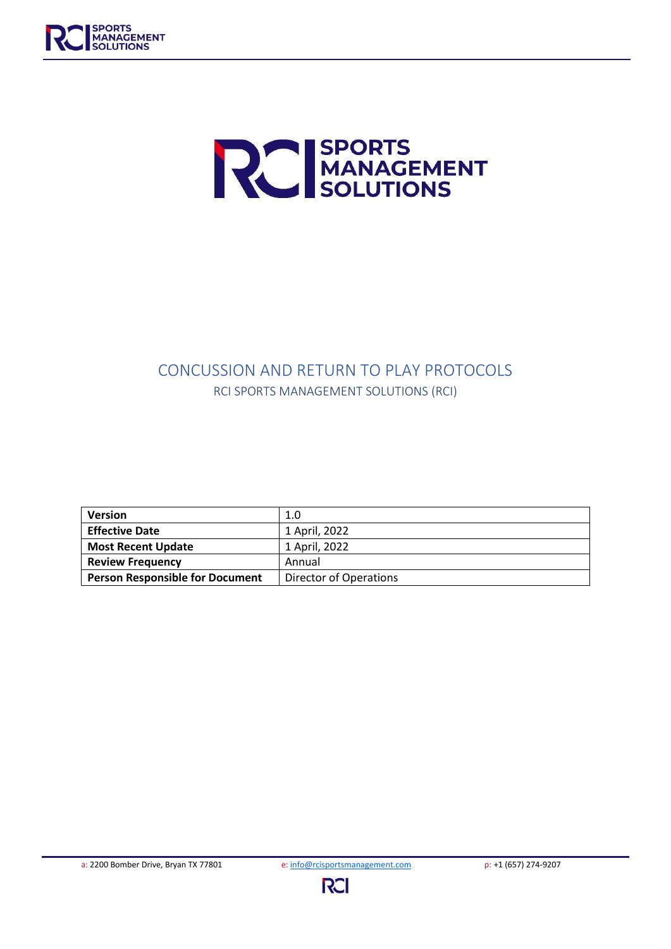



# CONCUSSION AND RETURN TO PLAY PROTOCOLS RCI SPORTS MANAGEMENT SOLUTIONS (RCI)

| <b>Version</b>                         | 1.0                           |
|----------------------------------------|-------------------------------|
| <b>Effective Date</b>                  | 1 April, 2022                 |
| <b>Most Recent Update</b>              | 1 April, 2022                 |
| <b>Review Frequency</b>                | Annual                        |
| <b>Person Responsible for Document</b> | <b>Director of Operations</b> |



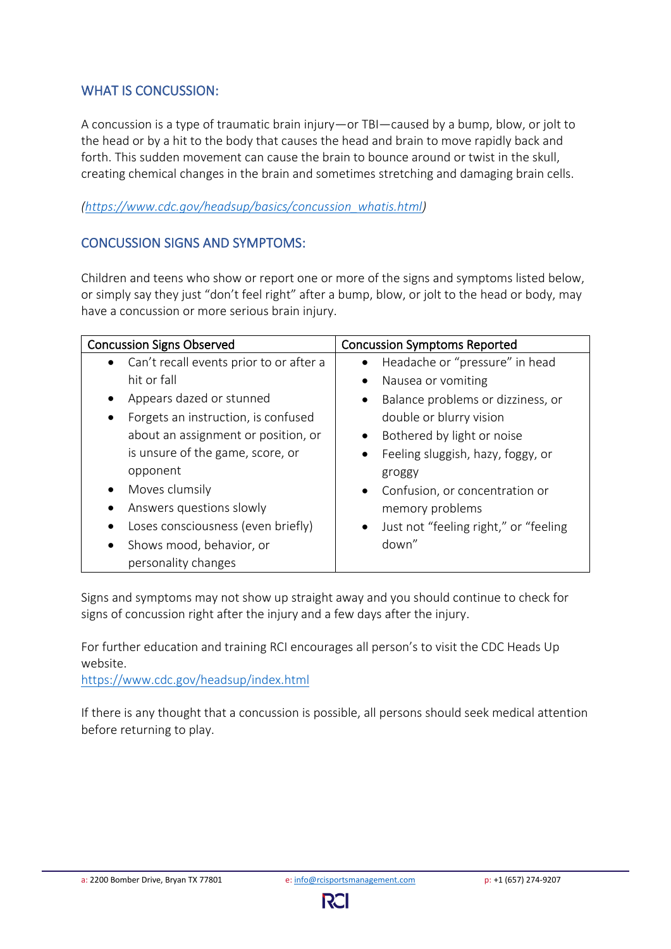### WHAT IS CONCUSSION:

A concussion is a type of traumatic brain injury—or TBI—caused by a bump, blow, or jolt to the head or by a hit to the body that causes the head and brain to move rapidly back and forth. This sudden movement can cause the brain to bounce around or twist in the skull, creating chemical changes in the brain and sometimes stretching and damaging brain cells.

#### *[\(https://www.cdc.gov/headsup/basics/concussion\\_whatis.html\)](https://www.cdc.gov/headsup/basics/concussion_whatis.html)*

### CONCUSSION SIGNS AND SYMPTOMS:

Children and teens who show or report one or more of the signs and symptoms listed below, or simply say they just "don't feel right" after a bump, blow, or jolt to the head or body, may have a concussion or more serious brain injury.

| <b>Concussion Signs Observed</b>                     | <b>Concussion Symptoms Reported</b>                |  |
|------------------------------------------------------|----------------------------------------------------|--|
| Can't recall events prior to or after a<br>$\bullet$ | Headache or "pressure" in head<br>$\bullet$        |  |
| hit or fall                                          | Nausea or vomiting<br>$\bullet$                    |  |
| Appears dazed or stunned                             | Balance problems or dizziness, or<br>$\bullet$     |  |
| Forgets an instruction, is confused                  | double or blurry vision                            |  |
| about an assignment or position, or                  | Bothered by light or noise                         |  |
| is unsure of the game, score, or                     | Feeling sluggish, hazy, foggy, or<br>$\bullet$     |  |
| opponent                                             | groggy                                             |  |
| Moves clumsily                                       | Confusion, or concentration or<br>$\bullet$        |  |
| Answers questions slowly                             | memory problems                                    |  |
| Loses consciousness (even briefly)                   | Just not "feeling right," or "feeling<br>$\bullet$ |  |
| Shows mood, behavior, or                             | down"                                              |  |
| personality changes                                  |                                                    |  |

Signs and symptoms may not show up straight away and you should continue to check for signs of concussion right after the injury and a few days after the injury.

For further education and training RCI encourages all person's to visit the CDC Heads Up website.

<https://www.cdc.gov/headsup/index.html>

If there is any thought that a concussion is possible, all persons should seek medical attention before returning to play.

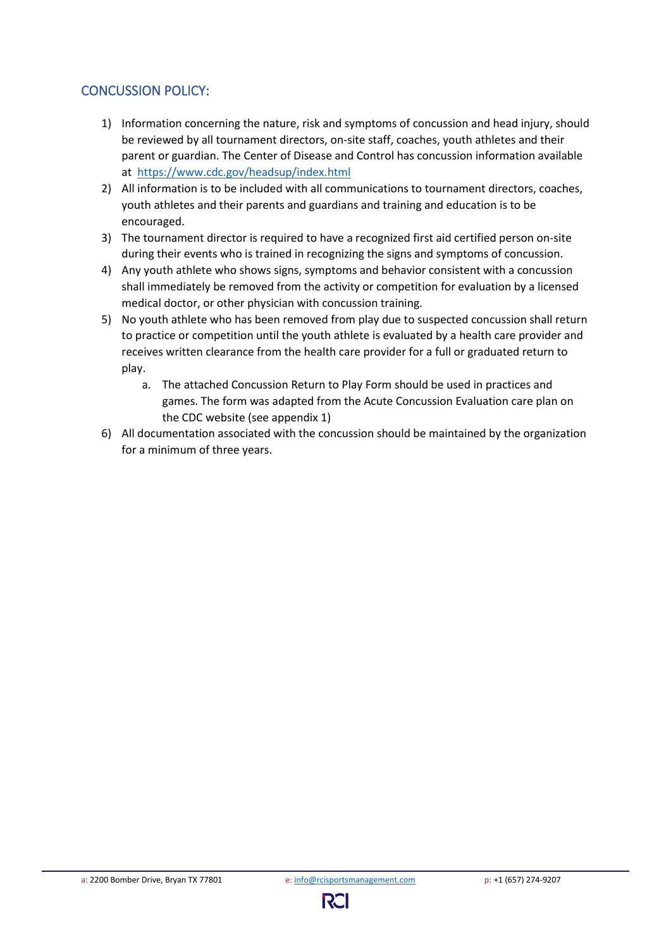### CONCUSSION POLICY:

- 1) Information concerning the nature, risk and symptoms of concussion and head injury, should be reviewed by all tournament directors, on-site staff, coaches, youth athletes and their parent or guardian. The Center of Disease and Control has concussion information available at <https://www.cdc.gov/headsup/index.html>
- 2) All information is to be included with all communications to tournament directors, coaches, youth athletes and their parents and guardians and training and education is to be encouraged.
- 3) The tournament director is required to have a recognized first aid certified person on-site during their events who is trained in recognizing the signs and symptoms of concussion.
- 4) Any youth athlete who shows signs, symptoms and behavior consistent with a concussion shall immediately be removed from the activity or competition for evaluation by a licensed medical doctor, or other physician with concussion training.
- 5) No youth athlete who has been removed from play due to suspected concussion shall return to practice or competition until the youth athlete is evaluated by a health care provider and receives written clearance from the health care provider for a full or graduated return to play.
	- a. The attached Concussion Return to Play Form should be used in practices and games. The form was adapted from the Acute Concussion Evaluation care plan on the CDC website (see appendix 1)
- 6) All documentation associated with the concussion should be maintained by the organization for a minimum of three years.

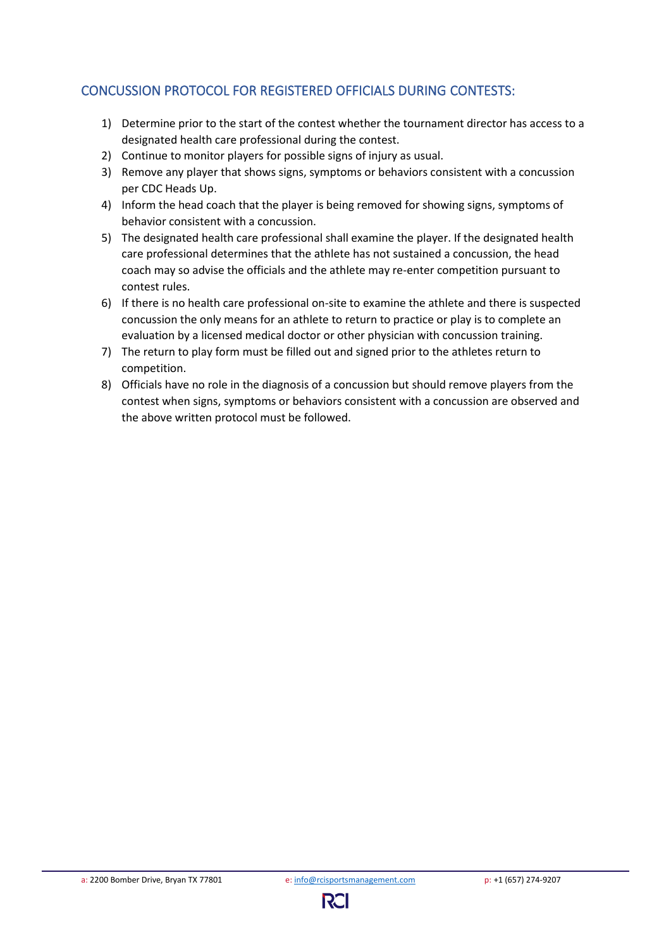## CONCUSSION PROTOCOL FOR REGISTERED OFFICIALS DURING CONTESTS:

- 1) Determine prior to the start of the contest whether the tournament director has access to a designated health care professional during the contest.
- 2) Continue to monitor players for possible signs of injury as usual.
- 3) Remove any player that shows signs, symptoms or behaviors consistent with a concussion per CDC Heads Up.
- 4) Inform the head coach that the player is being removed for showing signs, symptoms of behavior consistent with a concussion.
- 5) The designated health care professional shall examine the player. If the designated health care professional determines that the athlete has not sustained a concussion, the head coach may so advise the officials and the athlete may re-enter competition pursuant to contest rules.
- 6) If there is no health care professional on-site to examine the athlete and there is suspected concussion the only means for an athlete to return to practice or play is to complete an evaluation by a licensed medical doctor or other physician with concussion training.
- 7) The return to play form must be filled out and signed prior to the athletes return to competition.
- 8) Officials have no role in the diagnosis of a concussion but should remove players from the contest when signs, symptoms or behaviors consistent with a concussion are observed and the above written protocol must be followed.

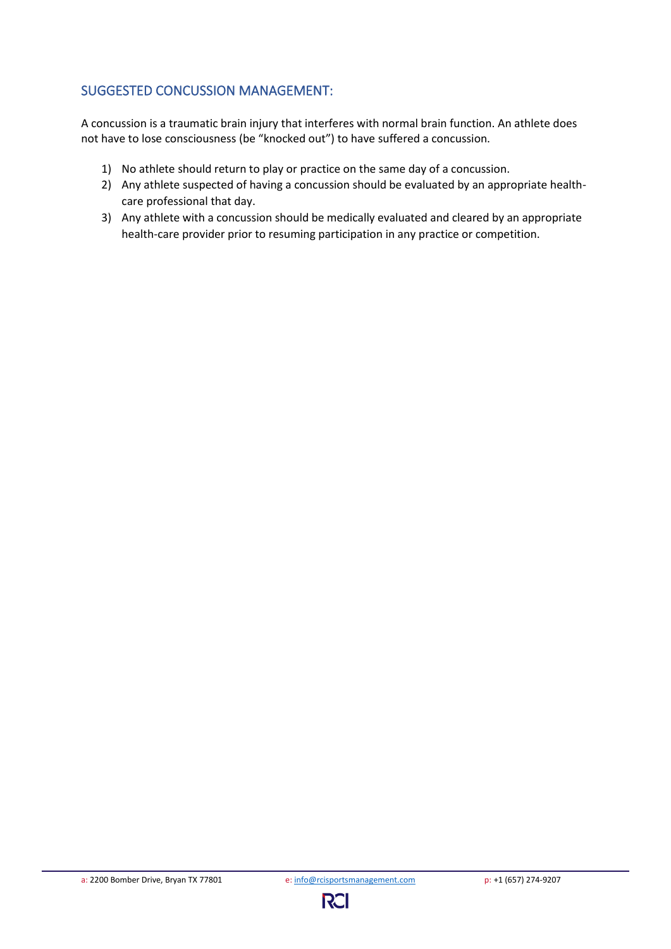## SUGGESTED CONCUSSION MANAGEMENT:

A concussion is a traumatic brain injury that interferes with normal brain function. An athlete does not have to lose consciousness (be "knocked out") to have suffered a concussion.

- 1) No athlete should return to play or practice on the same day of a concussion.
- 2) Any athlete suspected of having a concussion should be evaluated by an appropriate healthcare professional that day.
- 3) Any athlete with a concussion should be medically evaluated and cleared by an appropriate health-care provider prior to resuming participation in any practice or competition.

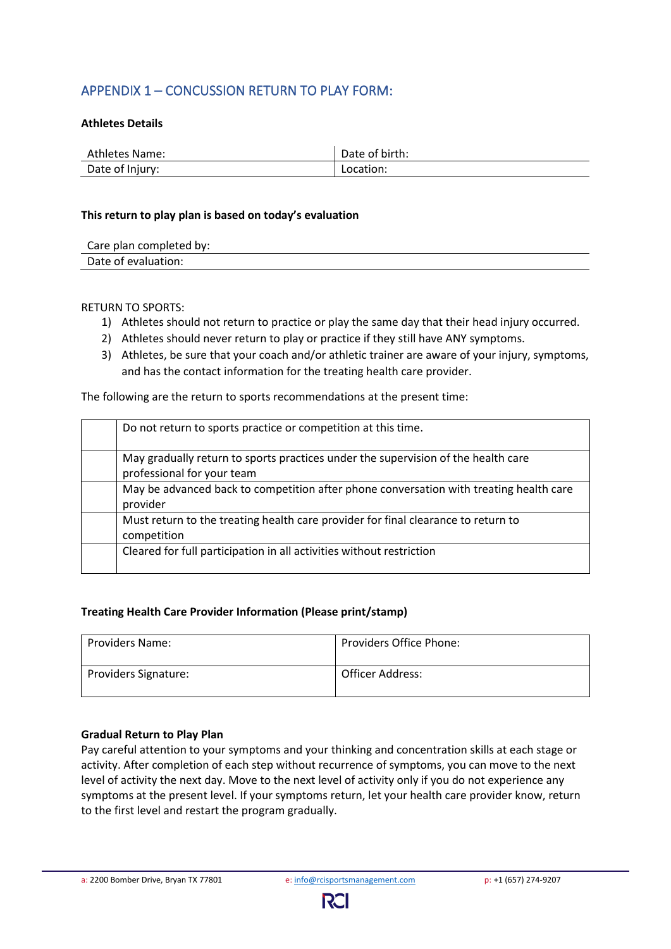### APPENDIX 1 – CONCUSSION RETURN TO PLAY FORM:

#### **Athletes Details**

| Athletes Name:  | Date of birth: |
|-----------------|----------------|
| Date of Injury: | Location:      |

#### **This return to play plan is based on today's evaluation**

| Care plan completed by: |  |
|-------------------------|--|
| Date of evaluation:     |  |

#### RETURN TO SPORTS:

- 1) Athletes should not return to practice or play the same day that their head injury occurred.
- 2) Athletes should never return to play or practice if they still have ANY symptoms.
- 3) Athletes, be sure that your coach and/or athletic trainer are aware of your injury, symptoms, and has the contact information for the treating health care provider.

The following are the return to sports recommendations at the present time:

| Do not return to sports practice or competition at this time.                                                   |
|-----------------------------------------------------------------------------------------------------------------|
| May gradually return to sports practices under the supervision of the health care<br>professional for your team |
| May be advanced back to competition after phone conversation with treating health care<br>provider              |
| Must return to the treating health care provider for final clearance to return to<br>competition                |
| Cleared for full participation in all activities without restriction                                            |

#### **Treating Health Care Provider Information (Please print/stamp)**

| <b>Providers Name:</b>      | <b>Providers Office Phone:</b> |
|-----------------------------|--------------------------------|
| <b>Providers Signature:</b> | Officer Address:               |

#### **Gradual Return to Play Plan**

Pay careful attention to your symptoms and your thinking and concentration skills at each stage or activity. After completion of each step without recurrence of symptoms, you can move to the next level of activity the next day. Move to the next level of activity only if you do not experience any symptoms at the present level. If your symptoms return, let your health care provider know, return to the first level and restart the program gradually.